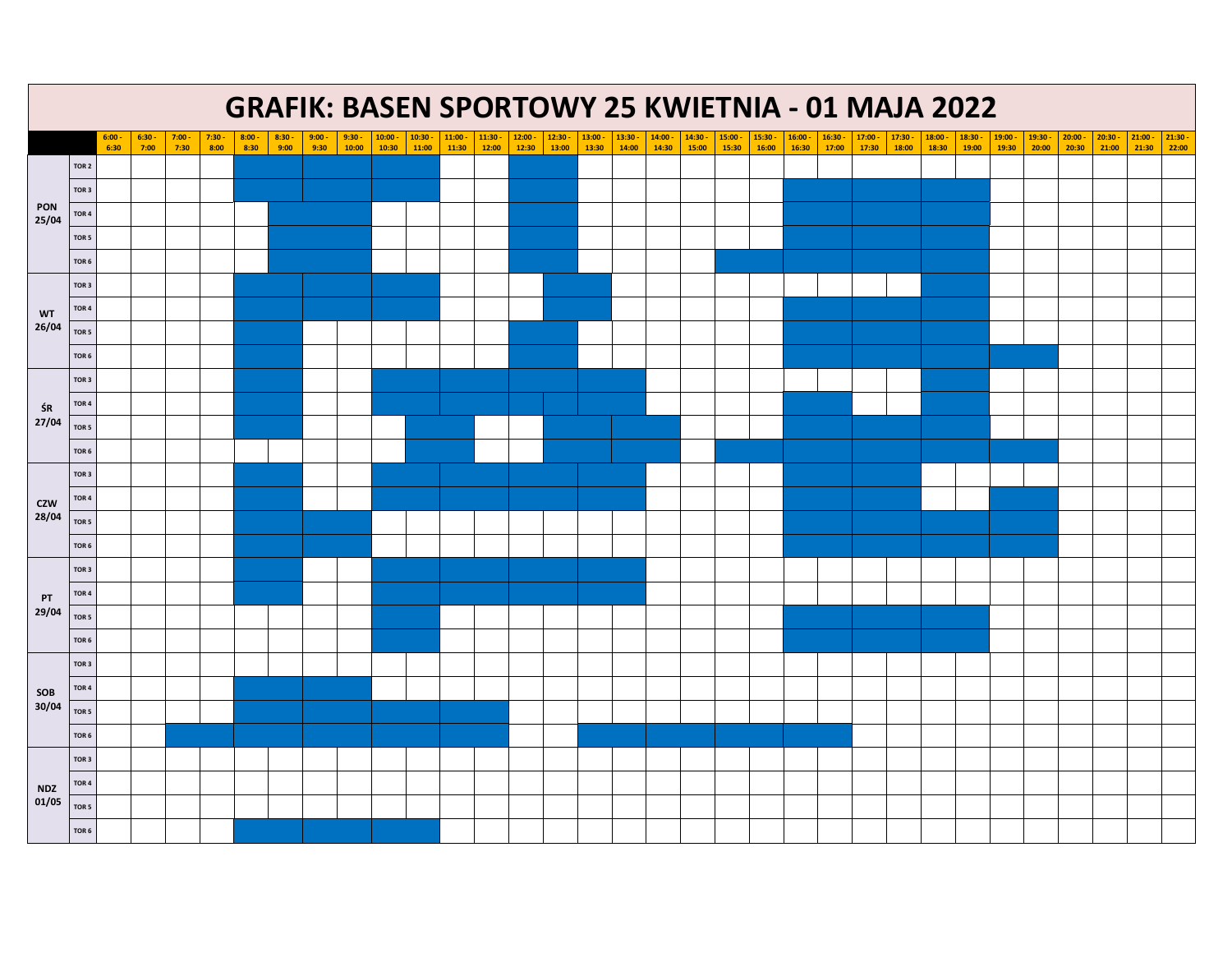